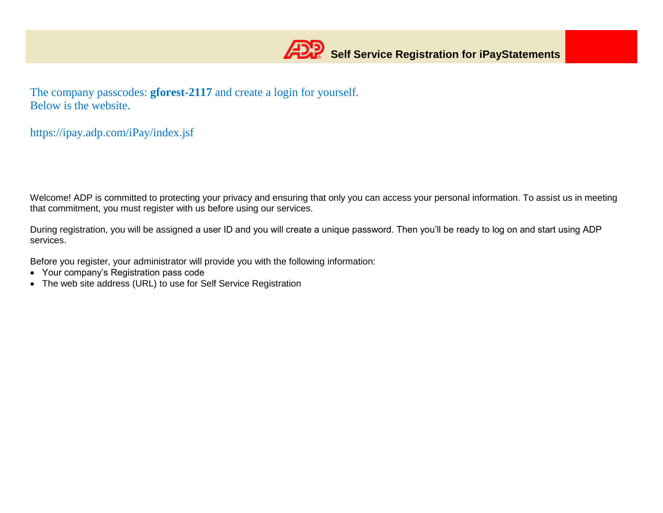The company passcodes: **gforest-2117** and create a login for yourself. Below is the website.

https://ipay.adp.com/iPay/index.jsf

Welcome! ADP is committed to protecting your privacy and ensuring that only you can access your personal information. To assist us in meeting that commitment, you must register with us before using our services.

During registration, you will be assigned a user ID and you will create a unique password. Then you'll be ready to log on and start using ADP services.

Before you register, your administrator will provide you with the following information:

- Your company's Registration pass code
- The web site address (URL) to use for Self Service Registration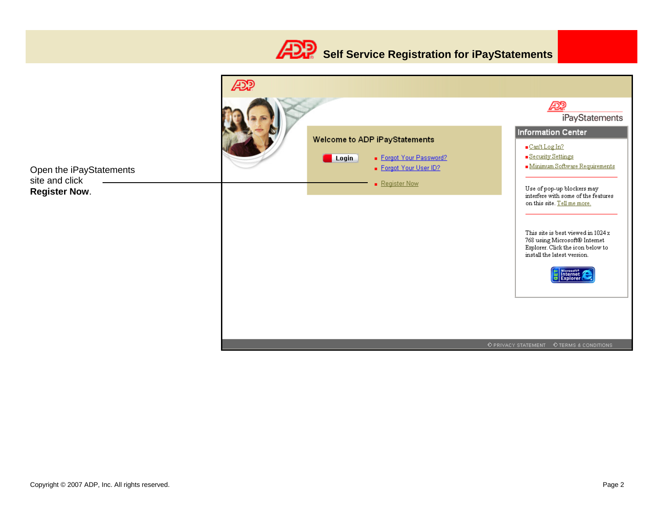

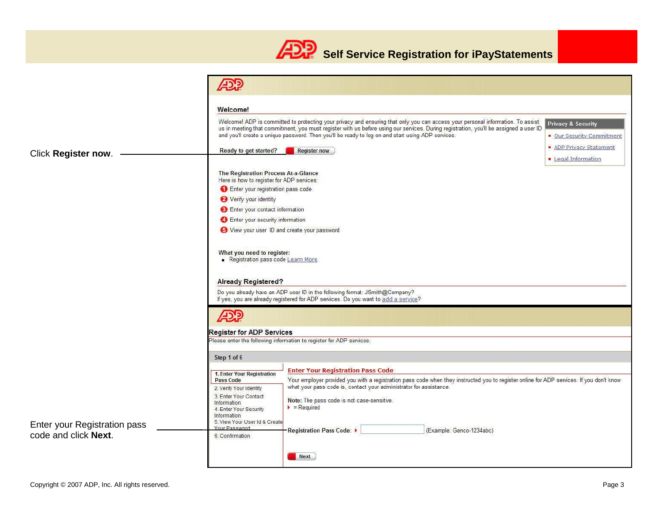## **Self Service Registration for iPayStatements**

|                              | <b>ADD</b>                                                                                                                                                                                                                                                                                                                                                                                                                                  |  |  |  |  |  |
|------------------------------|---------------------------------------------------------------------------------------------------------------------------------------------------------------------------------------------------------------------------------------------------------------------------------------------------------------------------------------------------------------------------------------------------------------------------------------------|--|--|--|--|--|
|                              | Welcome!                                                                                                                                                                                                                                                                                                                                                                                                                                    |  |  |  |  |  |
|                              | Welcomel ADP is committed to protecting your privacy and ensuring that only you can access your personal information. To assist<br><b>Privacy &amp; Security</b><br>us in meeting that commitment, you must register with us before using our services. During registration, you'll be assigned a user ID<br>and you'll create a unique password. Then you'll be ready to log on and start using ADP services.<br>• Our Security Commitment |  |  |  |  |  |
| Click Register now.          | <b>ADP Privacy Statement</b><br>Ready to get started?<br><b>Register now</b><br><b>E</b> Legal Information                                                                                                                                                                                                                                                                                                                                  |  |  |  |  |  |
|                              | The Registration Process At-a-Glance<br>Here is how to register for ADP services:                                                                                                                                                                                                                                                                                                                                                           |  |  |  |  |  |
|                              | Enter your registration pass code                                                                                                                                                                                                                                                                                                                                                                                                           |  |  |  |  |  |
|                              | Verify your identity                                                                                                                                                                                                                                                                                                                                                                                                                        |  |  |  |  |  |
|                              | Enter your contact information                                                                                                                                                                                                                                                                                                                                                                                                              |  |  |  |  |  |
|                              | Enter your security information                                                                                                                                                                                                                                                                                                                                                                                                             |  |  |  |  |  |
|                              | O View your user ID and create your password                                                                                                                                                                                                                                                                                                                                                                                                |  |  |  |  |  |
|                              | What you need to register:<br>Registration pass code Learn More<br><b>Already Registered?</b>                                                                                                                                                                                                                                                                                                                                               |  |  |  |  |  |
|                              | Do you already have an ADP user ID in the following format: JSmith@Company?<br>If yes, you are already registered for ADP services. Do you want to add a service?                                                                                                                                                                                                                                                                           |  |  |  |  |  |
|                              |                                                                                                                                                                                                                                                                                                                                                                                                                                             |  |  |  |  |  |
|                              | <b>Register for ADP Services</b>                                                                                                                                                                                                                                                                                                                                                                                                            |  |  |  |  |  |
|                              | Please enter the following information to register for ADP services.                                                                                                                                                                                                                                                                                                                                                                        |  |  |  |  |  |
|                              | Step 1 of 6                                                                                                                                                                                                                                                                                                                                                                                                                                 |  |  |  |  |  |
|                              | <b>Enter Your Registration Pass Code</b>                                                                                                                                                                                                                                                                                                                                                                                                    |  |  |  |  |  |
|                              | 1. Enter Your Registration<br>Your employer provided you with a registration pass code when they instructed you to register online for ADP services. If you don't know<br>Pass Code                                                                                                                                                                                                                                                         |  |  |  |  |  |
|                              | what your pass code is, contact your administrator for assistance.<br>2. Verify Your Identity                                                                                                                                                                                                                                                                                                                                               |  |  |  |  |  |
|                              | 3. Enter Your Contact<br>Note: The pass code is not case-sensitive.<br>Information<br>$\blacktriangleright$ = Required<br>4. Enter Your Security<br>Information                                                                                                                                                                                                                                                                             |  |  |  |  |  |
| Enter your Registration pass | 5. View Your User Id & Create                                                                                                                                                                                                                                                                                                                                                                                                               |  |  |  |  |  |
| code and click Next.         | Your Password<br><b>Registration Pass Code: ▶</b><br>(Example: Genco-1234abc)<br>6. Confirmation                                                                                                                                                                                                                                                                                                                                            |  |  |  |  |  |
|                              | <b>Next</b>                                                                                                                                                                                                                                                                                                                                                                                                                                 |  |  |  |  |  |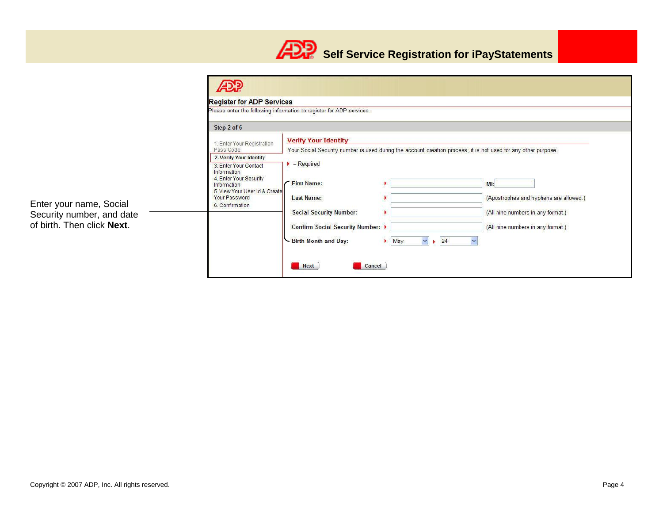

|                                                                                    | <b>Register for ADP Services</b>                                                                                                                   |                                                                                                                                                                                                                 |                                                      |                                                                                                                         |  |  |
|------------------------------------------------------------------------------------|----------------------------------------------------------------------------------------------------------------------------------------------------|-----------------------------------------------------------------------------------------------------------------------------------------------------------------------------------------------------------------|------------------------------------------------------|-------------------------------------------------------------------------------------------------------------------------|--|--|
|                                                                                    |                                                                                                                                                    | Please enter the following information to register for ADP services.                                                                                                                                            |                                                      |                                                                                                                         |  |  |
|                                                                                    | Step 2 of 6                                                                                                                                        |                                                                                                                                                                                                                 |                                                      |                                                                                                                         |  |  |
|                                                                                    | 1. Enter Your Registration<br>Pass Code                                                                                                            | <b>Verify Your Identity</b>                                                                                                                                                                                     |                                                      |                                                                                                                         |  |  |
|                                                                                    | 2. Verify Your Identity                                                                                                                            | Your Social Security number is used during the account creation process; it is not used for any other purpose.                                                                                                  |                                                      |                                                                                                                         |  |  |
| Enter your name, Social<br>Security number, and date<br>of birth. Then click Next. | 3. Enter Your Contact<br>Information<br>4. Enter Your Security<br>Information<br>5. View Your User Id & Create<br>Your Password<br>6. Confirmation | $\blacktriangleright$ = Required<br><b>First Name:</b><br><b>Last Name:</b><br><b>Social Security Number:</b><br>Confirm Social Security Number: $\rightarrow$<br>Birth Month and Day:<br><b>Next</b><br>Cancel | 24<br>$\blacktriangleright$ May<br>$\checkmark$<br>٠ | Ml:<br>(Apostrophes and hyphens are allowed.)<br>(All nine numbers in any format.)<br>(All nine numbers in any format.) |  |  |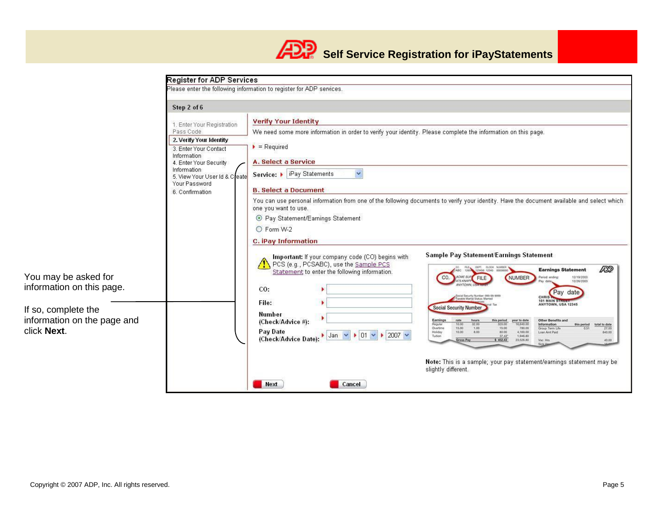

| <b>Verify Your Identity</b><br>1. Enter Your Registration<br>We need some more information in order to verify your identity. Please complete the information on this page.<br>2. Verify Your Identity<br>$\blacktriangleright$ = Required<br>3. Enter Your Contact<br>A. Select a Service<br>4. Enter Your Security<br>$\checkmark$<br>Service:   iPay Statements<br>5. View Your User Id & Create<br><b>B. Select a Document</b><br>You can use personal information from one of the following documents to verify your identity. Have the document available and select which<br>one you want to use.<br>⊙ Pay Statement/Earnings Statement<br>O Form W-2<br>C. iPay Information                                                                                                                                                                                                                                                                                                                                                              |
|-------------------------------------------------------------------------------------------------------------------------------------------------------------------------------------------------------------------------------------------------------------------------------------------------------------------------------------------------------------------------------------------------------------------------------------------------------------------------------------------------------------------------------------------------------------------------------------------------------------------------------------------------------------------------------------------------------------------------------------------------------------------------------------------------------------------------------------------------------------------------------------------------------------------------------------------------------------------------------------------------------------------------------------------------|
| <b>Sample Pay Statement/Earnings Statement</b><br>Important: If your company code (CO) begins with<br>PCS (e.g., PCSABC), use the Sample PCS<br>FAX DEPT. CLOCK NUMBER<br>ÆP<br><b>Earnings Statement</b><br>Statement to enter the following information.<br>CO.<br><b>ACME SUP</b><br>NUMBER<br>12/19/2003<br><b>FILE</b><br>475 KNAI<br>12/26/2003<br>CO:<br>Pay date<br>Social Security Number: 099-99-9999<br>Taxable Marital Status: Married<br><b>CHRIS</b><br>101 MAIN ST<br>File:<br>ANYTOWN, USA 12345<br>Social Security Numbe<br><b>Number</b><br>(Check/Advice #):<br>Other Benefits and<br>Regular<br>32.00<br>Information<br>10.00<br>320.00<br>16,640.00<br>this period<br>total to date<br>1.00<br>Overtime<br>15.00<br>15.00<br>780.00<br>Group Term Life<br>27.00<br>Pay Date<br>Holiday<br>10.00<br>8.00<br>80.00<br>4,160.00<br>840.00<br>Loan Amt Paid<br>$\vert$ Jan $\vert \vee \vert \vert \vert$ 01 $\vert \vee \vert \vert \vert$ 2007 $\vert \vee \vert$<br>Tuition<br>$-37.45$<br>1,946.80<br>(Check/Advice Date): |
|                                                                                                                                                                                                                                                                                                                                                                                                                                                                                                                                                                                                                                                                                                                                                                                                                                                                                                                                                                                                                                                 |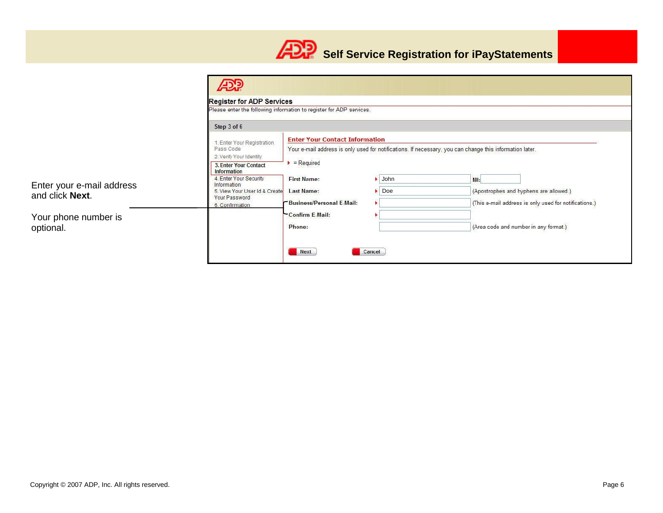

|                           | <b>Register for ADP Services</b>                                     |                                                                                                          |        |                            |                                        |                                                       |
|---------------------------|----------------------------------------------------------------------|----------------------------------------------------------------------------------------------------------|--------|----------------------------|----------------------------------------|-------------------------------------------------------|
|                           | Please enter the following information to register for ADP services. |                                                                                                          |        |                            |                                        |                                                       |
|                           | Step 3 of 6                                                          |                                                                                                          |        |                            |                                        |                                                       |
|                           | 1. Enter Your Registration                                           | <b>Enter Your Contact Information</b>                                                                    |        |                            |                                        |                                                       |
|                           | Pass Code<br>2. Verify Your Identity                                 | Your e-mail address is only used for notifications. If necessary, you can change this information later. |        |                            |                                        |                                                       |
|                           | 3. Enter Your Contact<br>Information                                 | $\blacktriangleright$ = Required                                                                         |        |                            |                                        |                                                       |
| Enter your e-mail address | 4. Enter Your Security<br>Information                                | <b>First Name:</b>                                                                                       |        | $\blacktriangleright$ John | MI:                                    |                                                       |
| and click Next.           | 5. View Your User Id & Create<br>Your Password                       | <b>Last Name:</b>                                                                                        | Doe    |                            | (Apostrophes and hyphens are allowed.) |                                                       |
|                           | 6. Confirmation                                                      | <b>Business/Personal E-Mail:</b>                                                                         |        |                            |                                        | (This e-mail address is only used for notifications.) |
| Your phone number is      |                                                                      | Confirm E-Mail:                                                                                          |        |                            |                                        |                                                       |
| optional.                 |                                                                      | Phone:                                                                                                   |        |                            |                                        | (Area code and number in any format.)                 |
|                           |                                                                      | Next                                                                                                     | Cancel |                            |                                        |                                                       |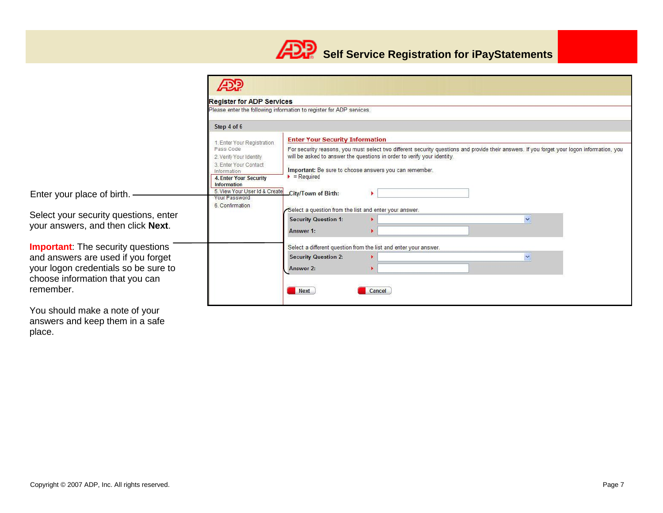

|                                                                                                                                                                                                                                  |                                                                                                                                                                                                                                                                                                                                                                | <b>Register for ADP Services</b><br>Please enter the following information to register for ADP services.                                              |  |  |  |  |  |
|----------------------------------------------------------------------------------------------------------------------------------------------------------------------------------------------------------------------------------|----------------------------------------------------------------------------------------------------------------------------------------------------------------------------------------------------------------------------------------------------------------------------------------------------------------------------------------------------------------|-------------------------------------------------------------------------------------------------------------------------------------------------------|--|--|--|--|--|
|                                                                                                                                                                                                                                  |                                                                                                                                                                                                                                                                                                                                                                |                                                                                                                                                       |  |  |  |  |  |
|                                                                                                                                                                                                                                  | Step 4 of 6                                                                                                                                                                                                                                                                                                                                                    |                                                                                                                                                       |  |  |  |  |  |
| 1. Enter Your Registration.<br>Pass Code<br>2. Verify Your Identity<br>3. Enter Your Contact<br>Information<br><b>4. Enter Your Security</b>                                                                                     | <b>Enter Your Security Information</b><br>For security reasons, you must select two different security questions and provide their answers. If you forget your logon information, you<br>will be asked to answer the questions in order to verify your identity.<br>Important: Be sure to choose answers you can remember.<br>$\blacktriangleright$ = Required |                                                                                                                                                       |  |  |  |  |  |
| Enter your place of birth. -                                                                                                                                                                                                     | <b>Information</b><br>5. View Your User Id & Create<br>Your Password<br>6. Confirmation                                                                                                                                                                                                                                                                        | City/Town of Birth:                                                                                                                                   |  |  |  |  |  |
| Select your security questions, enter<br>your answers, and then click Next.                                                                                                                                                      |                                                                                                                                                                                                                                                                                                                                                                | Select a question from the list and enter your answer.<br><b>Security Question 1:</b><br>$\checkmark$<br>Answer 1:                                    |  |  |  |  |  |
| <b>Important:</b> The security questions<br>and answers are used if you forget<br>your logon credentials so be sure to<br>choose information that you can<br>remember.                                                           |                                                                                                                                                                                                                                                                                                                                                                | Select a different question from the list and enter your answer.<br><b>Security Question 2:</b><br>$\checkmark$<br>Answer 2:<br><b>Next</b><br>Cancel |  |  |  |  |  |
| $\mathbf{v}$ , and the set of the set of the set of the set of the set of the set of the set of the set of the set of the set of the set of the set of the set of the set of the set of the set of the set of the set of the set |                                                                                                                                                                                                                                                                                                                                                                |                                                                                                                                                       |  |  |  |  |  |

You should make a note of your answers and keep them in a safe place.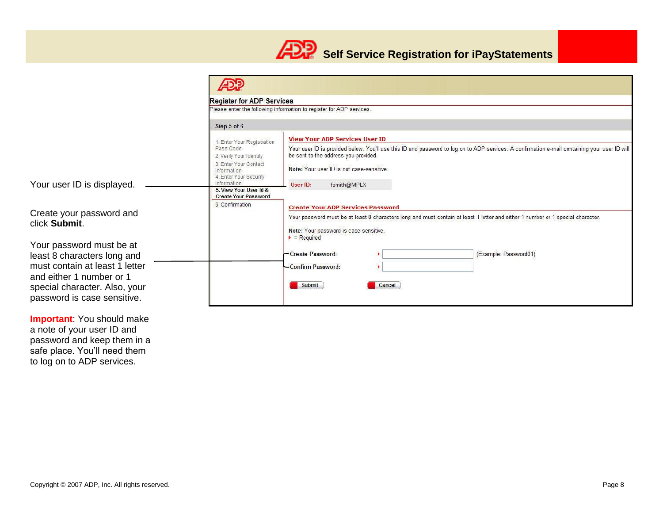

|                                                              |                                                                | <b>Register for ADP Services</b><br>Please enter the following information to register for ADP services.                                                                              |  |  |  |  |  |
|--------------------------------------------------------------|----------------------------------------------------------------|---------------------------------------------------------------------------------------------------------------------------------------------------------------------------------------|--|--|--|--|--|
|                                                              |                                                                |                                                                                                                                                                                       |  |  |  |  |  |
|                                                              | Step 5 of 6                                                    |                                                                                                                                                                                       |  |  |  |  |  |
|                                                              | 1. Enter Your Registration                                     | <b>View Your ADP Services User ID</b>                                                                                                                                                 |  |  |  |  |  |
|                                                              | Pass Code<br>2. Verify Your Identity                           | Your user ID is provided below. You'll use this ID and password to log on to ADP services. A confirmation e-mail containing your user ID will<br>be sent to the address you provided. |  |  |  |  |  |
|                                                              | 3. Enter Your Contact<br>Information<br>4. Enter Your Security | Note: Your user ID is not case-sensitive.                                                                                                                                             |  |  |  |  |  |
| Your user ID is displayed.                                   | Information<br>5. View Your User Id &                          | fsmith@MPLX<br>User ID:                                                                                                                                                               |  |  |  |  |  |
|                                                              | <b>Create Your Password</b><br>6. Confirmation                 | <b>Create Your ADP Services Password</b>                                                                                                                                              |  |  |  |  |  |
| Create your password and<br>click Submit.                    |                                                                | Your password must be at least 8 characters long and must contain at least 1 letter and either 1 number or 1 special character.                                                       |  |  |  |  |  |
|                                                              |                                                                | Note: Your password is case sensitive.<br>$P = Required$                                                                                                                              |  |  |  |  |  |
| Your password must be at                                     |                                                                |                                                                                                                                                                                       |  |  |  |  |  |
| least 8 characters long and                                  |                                                                | -Create Password:<br>(Example: Password01)                                                                                                                                            |  |  |  |  |  |
| must contain at least 1 letter<br>and either 1 number or 1   |                                                                | -Confirm Password:                                                                                                                                                                    |  |  |  |  |  |
| special character. Also, your<br>password is case sensitive. |                                                                | <b>Submit</b><br>Cancel                                                                                                                                                               |  |  |  |  |  |
|                                                              |                                                                |                                                                                                                                                                                       |  |  |  |  |  |

**Important**: You should make a note of your user ID and password and keep them in a safe place. You'll need them to log on to ADP services.